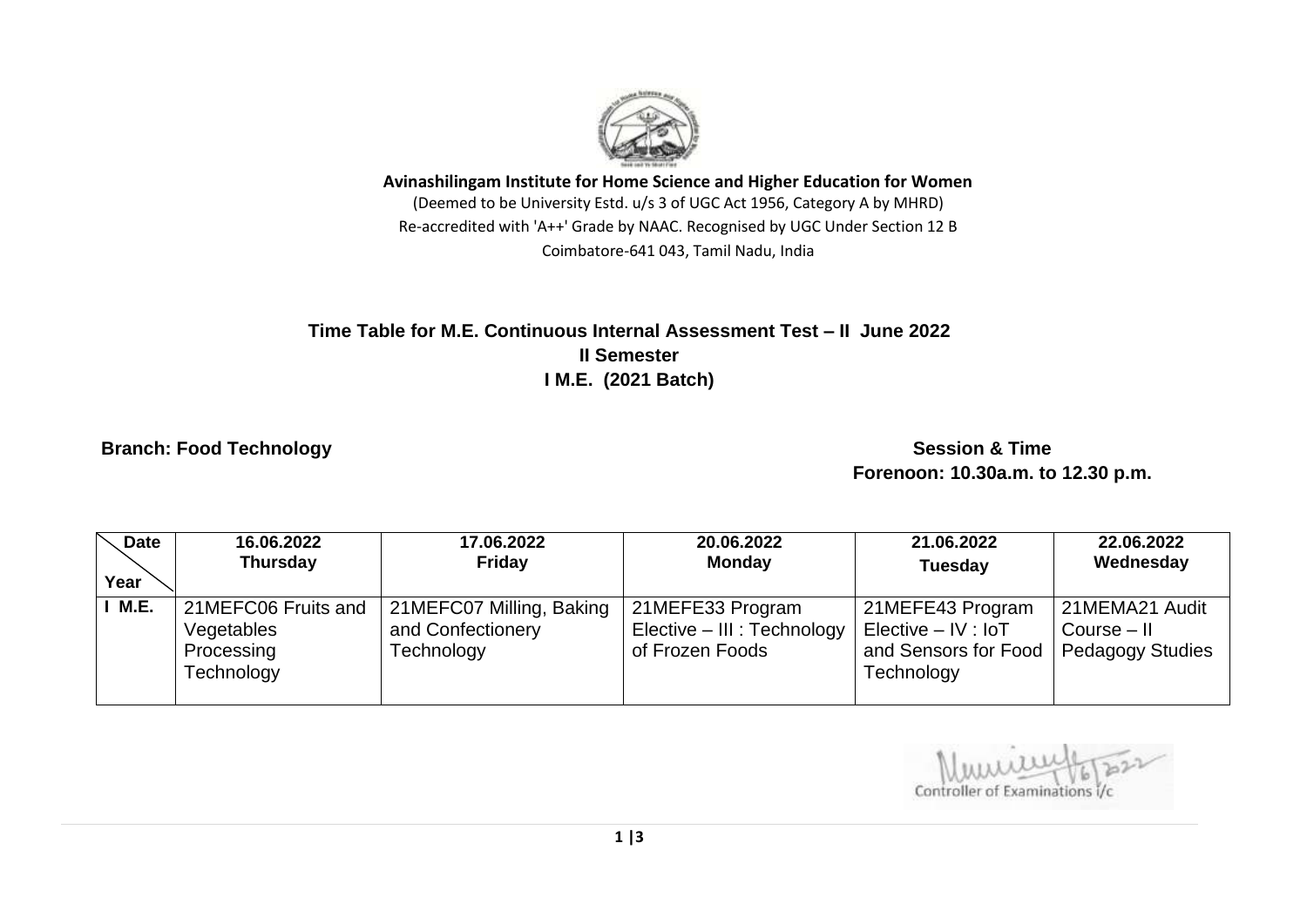

**Avinashilingam Institute for Home Science and Higher Education for Women** (Deemed to be University Estd. u/s 3 of UGC Act 1956, Category A by MHRD) Re-accredited with 'A++' Grade by NAAC. Recognised by UGC Under Section 12 B Coimbatore-641 043, Tamil Nadu, India

## **Time Table for M.E. Continuous Internal Assessment Test – II June 2022 II Semester I M.E. (2021 Batch)**

## **Branch: Food Technology Session & Time 3 All 2008 Contracts and Session & Time 3 All 2008 Contracts and Session & Time 3 All 2008 Contracts and Session & Time 3 All 2009 Contracts and Session & Time 3 All 2009 Contracts a**

 **Forenoon: 10.30a.m. to 12.30 p.m.**

| <b>Date</b> | 16.06.2022                                                    | 17.06.2022                                                  | 20.06.2022                                                         | 21.06.2022                                                                      | 22.06.2022                                                 |
|-------------|---------------------------------------------------------------|-------------------------------------------------------------|--------------------------------------------------------------------|---------------------------------------------------------------------------------|------------------------------------------------------------|
|             | <b>Thursday</b>                                               | <b>Friday</b>                                               | <b>Monday</b>                                                      | <b>Tuesday</b>                                                                  | Wednesday                                                  |
| Year        |                                                               |                                                             |                                                                    |                                                                                 |                                                            |
| <b>M.E.</b> | 21MEFC06 Fruits and<br>Vegetables<br>Processing<br>Technology | 21MEFC07 Milling, Baking<br>and Confectionery<br>Technology | 21MEFE33 Program<br>Elective - III : Technology<br>of Frozen Foods | 21MEFE43 Program<br>$Electric - IV : IoT$<br>and Sensors for Food<br>Technology | 21MEMA21 Audit<br>$Course - II$<br><b>Pedagogy Studies</b> |

Controller of Examinations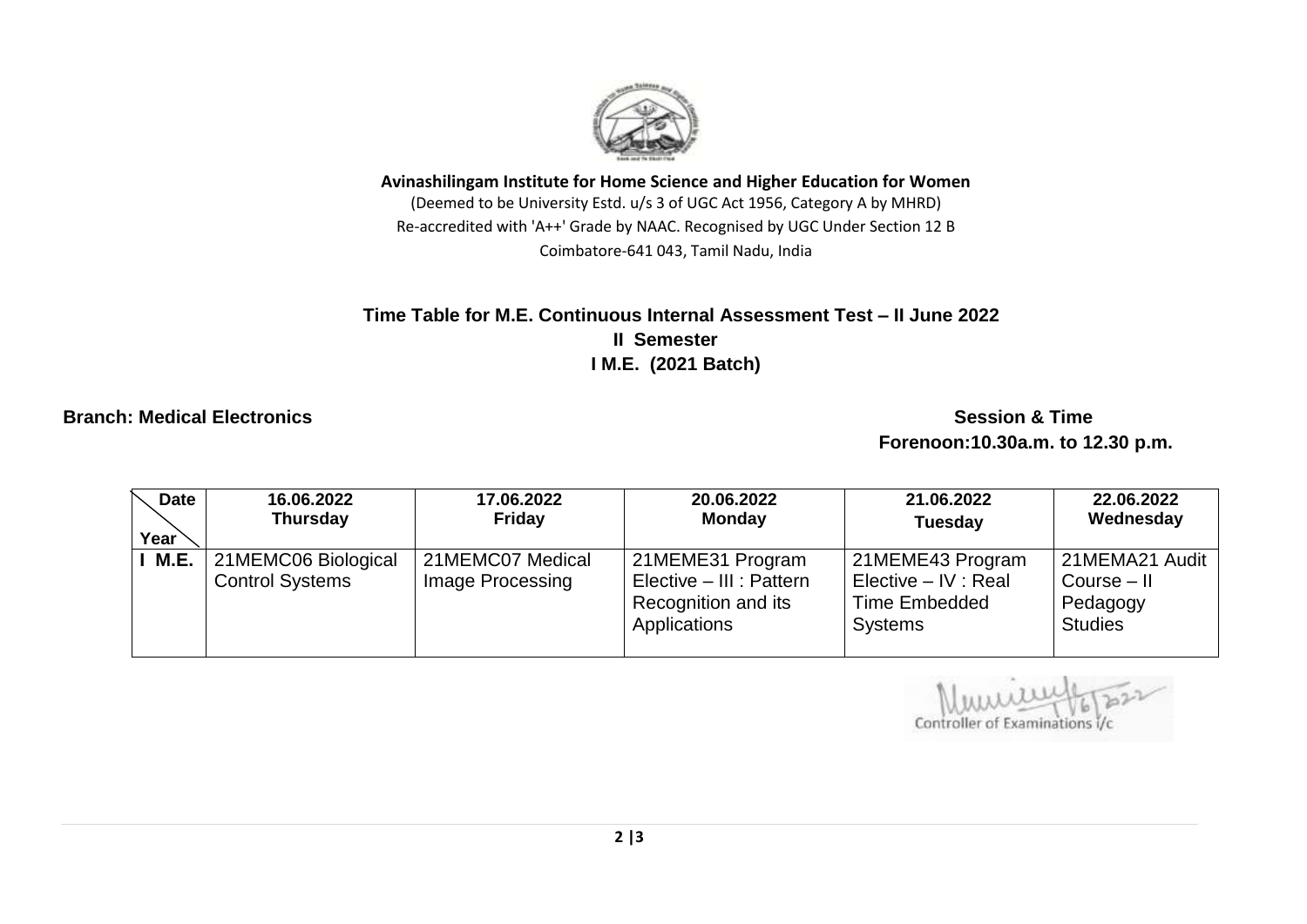

**Avinashilingam Institute for Home Science and Higher Education for Women** (Deemed to be University Estd. u/s 3 of UGC Act 1956, Category A by MHRD) Re-accredited with 'A++' Grade by NAAC. Recognised by UGC Under Section 12 B Coimbatore-641 043, Tamil Nadu, India

## Time Table for M.E. Continuous Internal Assessment Test - II June 2022  **II Semester I M.E. (2021 Batch)**

**Branch: Medical Electronics Session & Time** 

 **Forenoon:10.30a.m. to 12.30 p.m.**

| Date | 16.06.2022                                    | 17.06.2022                           | 20.06.2022                                                                          | 21.06.2022                                                                  | 22.06.2022                                                    |
|------|-----------------------------------------------|--------------------------------------|-------------------------------------------------------------------------------------|-----------------------------------------------------------------------------|---------------------------------------------------------------|
| Year | <b>Thursday</b>                               | Friday                               | <b>Monday</b>                                                                       | <b>Tuesday</b>                                                              | Wednesday                                                     |
| М.Е. | 21MEMC06 Biological<br><b>Control Systems</b> | 21MEMC07 Medical<br>Image Processing | 21MEME31 Program<br>Elective - III : Pattern<br>Recognition and its<br>Applications | 21MEME43 Program<br>Elective – IV : Real<br>Time Embedded<br><b>Systems</b> | 21MEMA21 Audit<br>$Course - II$<br>Pedagogy<br><b>Studies</b> |

Controller of Examinat